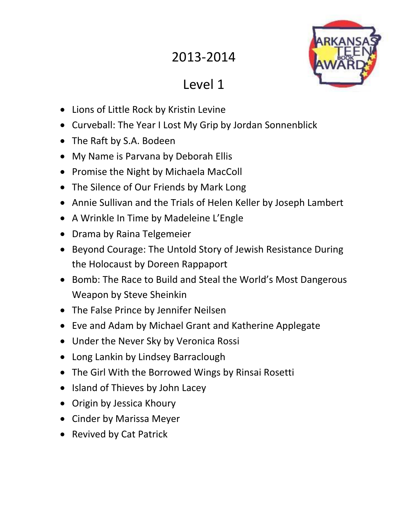## 2013-2014



## Level 1

- Lions of Little Rock by Kristin Levine
- Curveball: The Year I Lost My Grip by Jordan Sonnenblick
- The Raft by S.A. Bodeen
- My Name is Parvana by Deborah Ellis
- Promise the Night by Michaela MacColl
- The Silence of Our Friends by Mark Long
- Annie Sullivan and the Trials of Helen Keller by Joseph Lambert
- A Wrinkle In Time by Madeleine L'Engle
- Drama by Raina Telgemeier
- Beyond Courage: The Untold Story of Jewish Resistance During the Holocaust by Doreen Rappaport
- Bomb: The Race to Build and Steal the World's Most Dangerous Weapon by Steve Sheinkin
- The False Prince by Jennifer Neilsen
- Eve and Adam by Michael Grant and Katherine Applegate
- Under the Never Sky by Veronica Rossi
- Long Lankin by Lindsey Barraclough
- The Girl With the Borrowed Wings by Rinsai Rosetti
- Island of Thieves by John Lacey
- Origin by Jessica Khoury
- Cinder by Marissa Meyer
- Revived by Cat Patrick